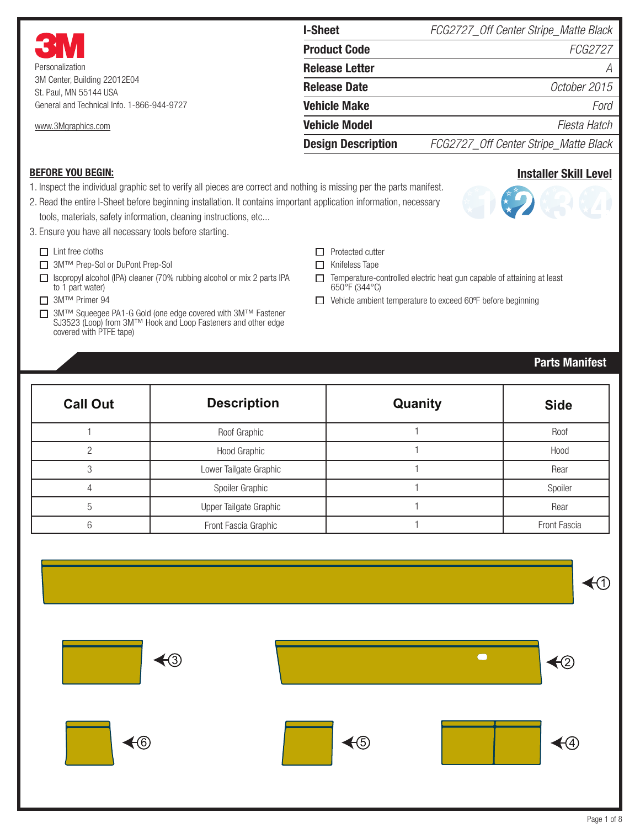|                                                        | <b>I-Sheet</b>            | FCG2727_Off Center Stripe_Matte Black |  |
|--------------------------------------------------------|---------------------------|---------------------------------------|--|
| <b>3M</b>                                              | <b>Product Code</b>       | <i>FCG2727</i>                        |  |
| Personalization                                        | <b>Release Letter</b>     |                                       |  |
| 3M Center, Building 22012E04<br>St. Paul, MN 55144 USA | <b>Release Date</b>       | October 2015                          |  |
| General and Technical Info. 1-866-944-9727             | <b>Vehicle Make</b>       | Ford                                  |  |
| www.3Mgraphics.com                                     | <b>Vehicle Model</b>      | Fiesta Hatch                          |  |
|                                                        | <b>Design Description</b> | FCG2727_Off Center Stripe_Matte Black |  |

#### BEFORE YOU BEGIN:

1. Inspect the individual graphic set to verify all pieces are correct and nothing is missing per the parts manifest.

2. Read the entire I-Sheet before beginning installation. It contains important application information, necessary tools, materials, safety information, cleaning instructions, etc...

- 3. Ensure you have all necessary tools before starting.
	- $\Box$  Lint free cloths
	- 3M™ Prep-Sol or DuPont Prep-Sol
	- $\Box$  Isopropyl alcohol (IPA) cleaner (70% rubbing alcohol or mix 2 parts IPA to 1 part water)
	- 3M™ Primer 94
	- 3M™ Squeegee PA1-G Gold (one edge covered with 3M™ Fastener SJ3523 (Loop) from 3M™ Hook and Loop Fasteners and other edge covered with PTFE tape)
- $\Box$  Protected cutter
- $\Box$  Knifeless Tape
- $\Box$  Temperature-controlled electric heat gun capable of attaining at least 650°F (344°C)
- □ Vehicle ambient temperature to exceed 60°F before beginning

## Parts Manifest

Installer Skill Level

| <b>Call Out</b> | <b>Description</b>     | Quanity | <b>Side</b>  |
|-----------------|------------------------|---------|--------------|
|                 | Roof Graphic           |         | Roof         |
|                 | Hood Graphic           |         | Hood         |
|                 | Lower Tailgate Graphic |         | Rear         |
|                 | Spoiler Graphic        |         | Spoiler      |
| 5               | Upper Tailgate Graphic |         | Rear         |
| 6               | Front Fascia Graphic   |         | Front Fascia |

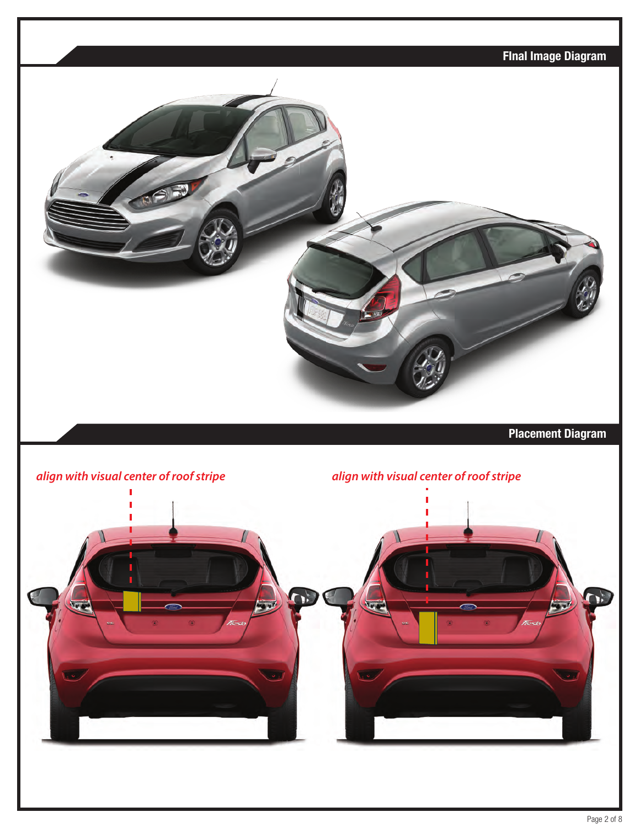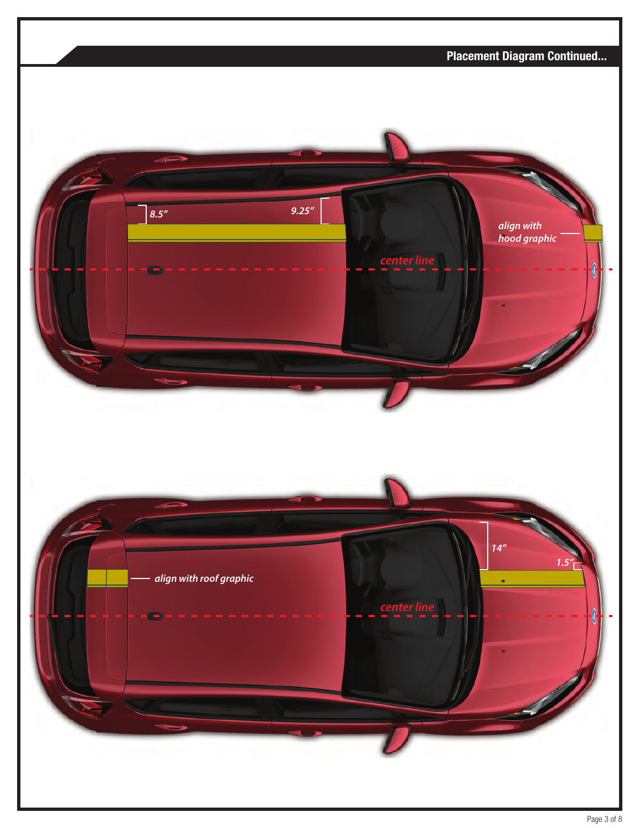

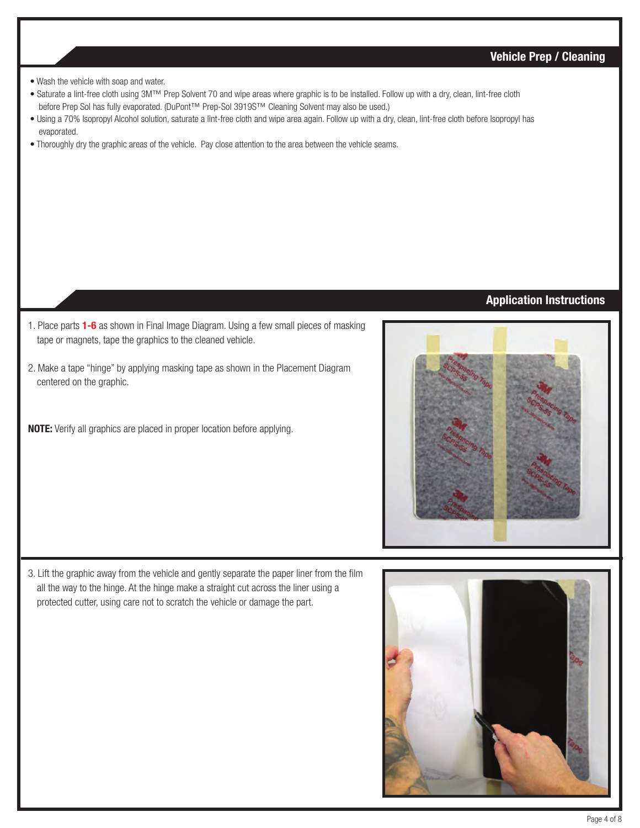# Vehicle Prep / Cleaning

- Wash the vehicle with soap and water.
- Saturate a lint-free cloth using 3M™ Prep Solvent 70 and wipe areas where graphic is to be installed. Follow up with a dry, clean, lint-free cloth before Prep Sol has fully evaporated. (DuPont™ Prep-Sol 3919S™ Cleaning Solvent may also be used.)
- Using a 70% Isopropyl Alcohol solution, saturate a lint-free cloth and wipe area again. Follow up with a dry, clean, lint-free cloth before Isopropyl has evaporated.
- Thoroughly dry the graphic areas of the vehicle. Pay close attention to the area between the vehicle seams.

## Application Instructions

- 1. Place parts 1-6 as shown in Final Image Diagram. Using a few small pieces of masking tape or magnets, tape the graphics to the cleaned vehicle.
- 2. Make a tape "hinge" by applying masking tape as shown in the Placement Diagram centered on the graphic.
- NOTE: Verify all graphics are placed in proper location before applying.



3. Lift the graphic away from the vehicle and gently separate the paper liner from the film all the way to the hinge. At the hinge make a straight cut across the liner using a protected cutter, using care not to scratch the vehicle or damage the part.

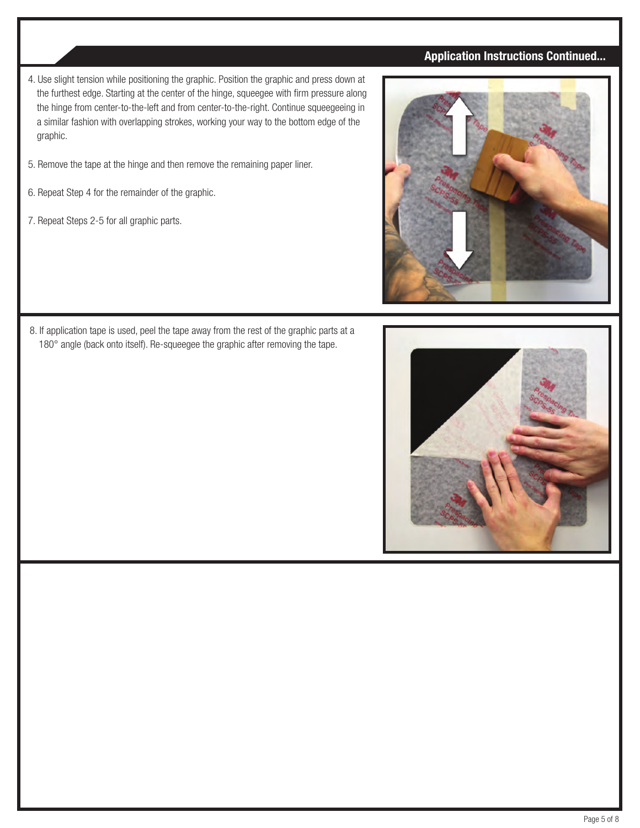# Application Instructions Continued...

- 4. Use slight tension while positioning the graphic. Position the graphic and press down at the furthest edge. Starting at the center of the hinge, squeegee with firm pressure along the hinge from center-to-the-left and from center-to-the-right. Continue squeegeeing in a similar fashion with overlapping strokes, working your way to the bottom edge of the graphic.
- 5. Remove the tape at the hinge and then remove the remaining paper liner.
- 6. Repeat Step 4 for the remainder of the graphic.
- 7. Repeat Steps 2-5 for all graphic parts.



8. If application tape is used, peel the tape away from the rest of the graphic parts at a 180° angle (back onto itself). Re-squeegee the graphic after removing the tape.

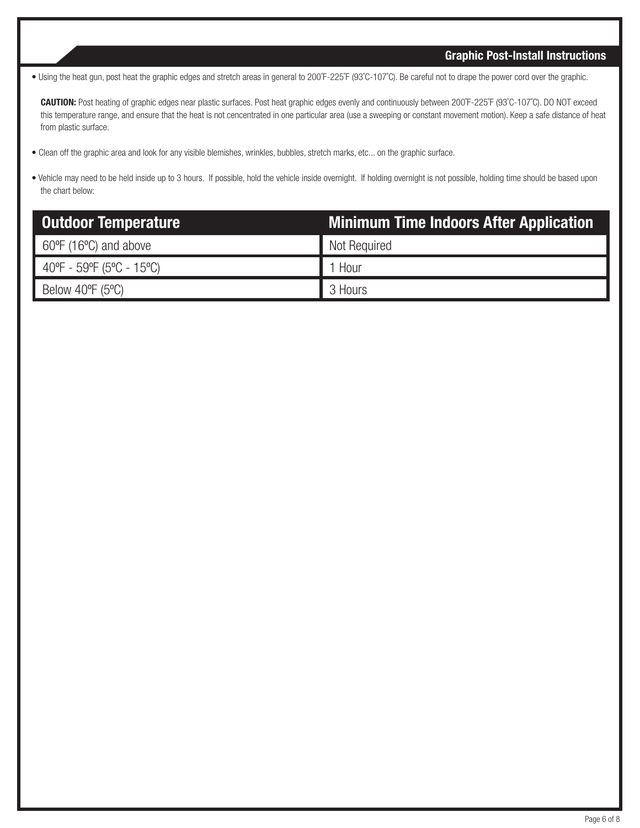## Graphic Post-Install Instructions

• Using the heat gun, post heat the graphic edges and stretch areas in general to 200˚F-225˚F (93˚C-107˚C). Be careful not to drape the power cord over the graphic.

 CAUTION: Post heating of graphic edges near plastic surfaces. Post heat graphic edges evenly and continuously between 200˚F-225˚F (93˚C-107˚C). DO NOT exceed this temperature range, and ensure that the heat is not cencentrated in one particular area (use a sweeping or constant movement motion). Keep a safe distance of heat from plastic surface.

- Clean off the graphic area and look for any visible blemishes, wrinkles, bubbles, stretch marks, etc... on the graphic surface.
- Vehicle may need to be held inside up to 3 hours. If possible, hold the vehicle inside overnight. If holding overnight is not possible, holding time should be based upon the chart below:

| <b>Outdoor Temperature</b>                             | Minimum Time Indoors After Application |
|--------------------------------------------------------|----------------------------------------|
| $60^{\circ}$ F (16 $^{\circ}$ C) and above             | Not Required                           |
| $40^{\circ}F - 59^{\circ}F (5^{\circ}C - 15^{\circ}C)$ | 1 Hour                                 |
| Below 40 $\degree$ F (5 $\degree$ C)                   | 3 Hours                                |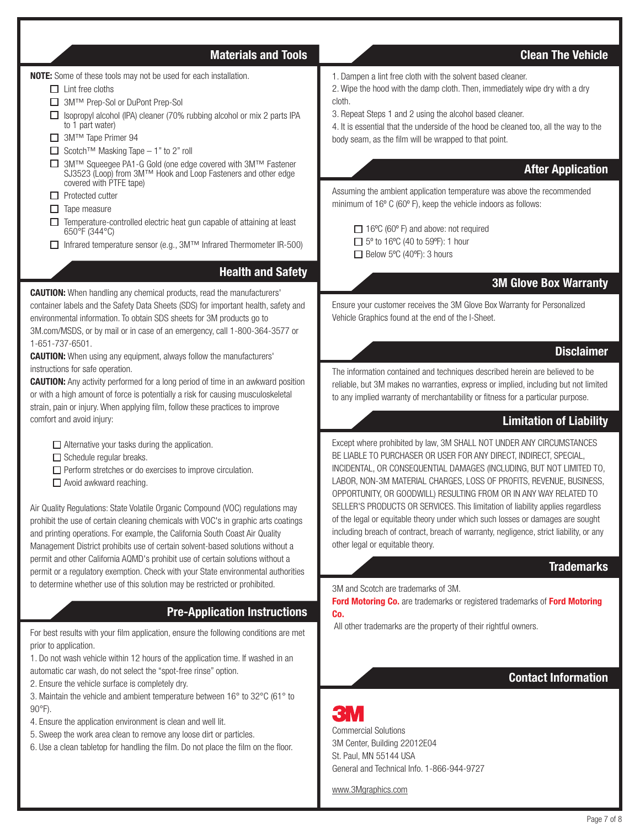#### Materials and Tools Clean The Vehicle

NOTE: Some of these tools may not be used for each installation.

- $\Box$  Lint free cloths
- 3M™ Prep-Sol or DuPont Prep-Sol
- $\Box$  Isopropyl alcohol (IPA) cleaner (70% rubbing alcohol or mix 2 parts IPA to 1 part water)
- 3M™ Tape Primer 94
- Scotch™ Masking Tape 1" to 2" roll
- 3M™ Squeegee PA1-G Gold (one edge covered with 3M™ Fastener SJ3523 (Loop) from 3M™ Hook and Loop Fasteners and other edge covered with PTFE tape)
- $\Box$  Protected cutter
- $\Box$  Tape measure
- $\Box$  Temperature-controlled electric heat gun capable of attaining at least 650°F (344°C)
- Infrared temperature sensor (e.g., 3M™ Infrared Thermometer IR-500)

# Health and Safety

**CAUTION:** When handling any chemical products, read the manufacturers' container labels and the Safety Data Sheets (SDS) for important health, safety and environmental information. To obtain SDS sheets for 3M products go to 3M.com/MSDS, or by mail or in case of an emergency, call 1-800-364-3577 or 1-651-737-6501.

**CAUTION:** When using any equipment, always follow the manufacturers' instructions for safe operation.

**CAUTION:** Any activity performed for a long period of time in an awkward position or with a high amount of force is potentially a risk for causing musculoskeletal strain, pain or injury. When applying film, follow these practices to improve comfort and avoid injury:

 $\Box$  Alternative your tasks during the application.

- $\Box$  Schedule regular breaks.
- $\square$  Perform stretches or do exercises to improve circulation.
- $\Box$  Avoid awkward reaching.

Air Quality Regulations: State Volatile Organic Compound (VOC) regulations may prohibit the use of certain cleaning chemicals with VOC's in graphic arts coatings and printing operations. For example, the California South Coast Air Quality Management District prohibits use of certain solvent-based solutions without a permit and other California AQMD's prohibit use of certain solutions without a permit or a regulatory exemption. Check with your State environmental authorities to determine whether use of this solution may be restricted or prohibited.

# Pre-Application Instructions

For best results with your film application, ensure the following conditions are met prior to application.

1. Do not wash vehicle within 12 hours of the application time. If washed in an automatic car wash, do not select the "spot-free rinse" option.

2. Ensure the vehicle surface is completely dry.

3. Maintain the vehicle and ambient temperature between 16° to 32°C (61° to 90°F).

- 4. Ensure the application environment is clean and well lit.
- 5. Sweep the work area clean to remove any loose dirt or particles.
- 6. Use a clean tabletop for handling the film. Do not place the film on the floor.
- 1. Dampen a lint free cloth with the solvent based cleaner.
- 2. Wipe the hood with the damp cloth. Then, immediately wipe dry with a dry cloth.
- 3. Repeat Steps 1 and 2 using the alcohol based cleaner.
- 4. It is essential that the underside of the hood be cleaned too, all the way to the body seam, as the film will be wrapped to that point.

#### After Application

Assuming the ambient application temperature was above the recommended minimum of 16º C (60º F), keep the vehicle indoors as follows:

 $\Box$  16°C (60° F) and above: not required  $\Box$  5° to 16°C (40 to 59°F): 1 hour  $\Box$  Below 5°C (40°F): 3 hours

#### 3M Glove Box Warranty

Ensure your customer receives the 3M Glove Box Warranty for Personalized Vehicle Graphics found at the end of the I-Sheet.

#### **Disclaimer**

The information contained and techniques described herein are believed to be reliable, but 3M makes no warranties, express or implied, including but not limited to any implied warranty of merchantability or fitness for a particular purpose.

#### Limitation of Liability

Except where prohibited by law, 3M SHALL NOT UNDER ANY CIRCUMSTANCES BE LIABLE TO PURCHASER OR USER FOR ANY DIRECT, INDIRECT, SPECIAL, INCIDENTAL, OR CONSEQUENTIAL DAMAGES (INCLUDING, BUT NOT LIMITED TO, LABOR, NON-3M MATERIAL CHARGES, LOSS OF PROFITS, REVENUE, BUSINESS, OPPORTUNITY, OR GOODWILL) RESULTING FROM OR IN ANY WAY RELATED TO SELLER'S PRODUCTS OR SERVICES. This limitation of liability applies regardless of the legal or equitable theory under which such losses or damages are sought including breach of contract, breach of warranty, negligence, strict liability, or any other legal or equitable theory.

#### **Trademarks**

3M and Scotch are trademarks of 3M.

Ford Motoring Co. are trademarks or registered trademarks of Ford Motoring Co.

All other trademarks are the property of their rightful owners.

## Contact Information



Commercial Solutions 3M Center, Building 22012E04 St. Paul, MN 55144 USA General and Technical Info. 1-866-944-9727

www.3Mgraphics.com